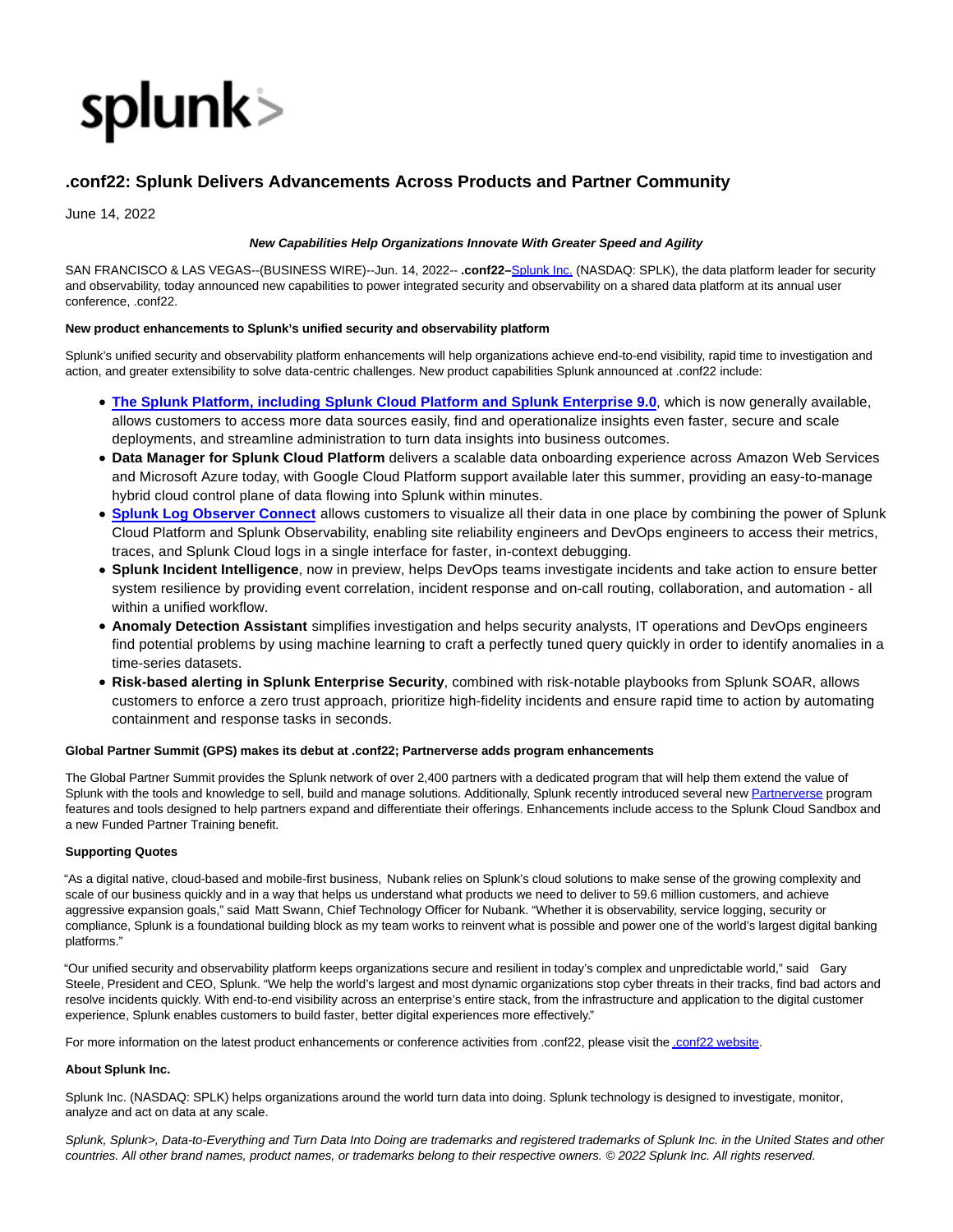

# **.conf22: Splunk Delivers Advancements Across Products and Partner Community**

June 14, 2022

### **New Capabilities Help Organizations Innovate With Greater Speed and Agility**

SAN FRANCISCO & LAS VEGAS--(BUSINESS WIRE)--Jun. 14, 2022-- **.conf22–**[Splunk Inc. \(](https://cts.businesswire.com/ct/CT?id=smartlink&url=http%3A%2F%2Fwww.splunk.com%2F&esheet=52748687&newsitemid=20220614005344&lan=en-US&anchor=Splunk+Inc.&index=1&md5=14bc1c6f805e490ccfc25062bce17f09)NASDAQ: SPLK), the data platform leader for security and observability, today announced new capabilities to power integrated security and observability on a shared data platform at its annual user conference, .conf22.

## **New product enhancements to Splunk's unified security and observability platform**

Splunk's unified security and observability platform enhancements will help organizations achieve end-to-end visibility, rapid time to investigation and action, and greater extensibility to solve data-centric challenges. New product capabilities Splunk announced at .conf22 include:

- **[The Splunk Platform, including](https://cts.businesswire.com/ct/CT?id=smartlink&url=https%3A%2F%2Fwww.splunk.com%2Fen_us%2Fnewsroom%2Fpress-releases%2F2022%2Fsplunk-delivers-security-and-observability-solutions-for-the-hybrid-cloud-world.html&esheet=52748687&newsitemid=20220614005344&lan=en-US&anchor=The+Splunk+Platform%2C+including&index=2&md5=735de88cc28dea1f29789ce5c7255169) [Splunk Cloud Platform and Splunk Enterprise 9.0](https://cts.businesswire.com/ct/CT?id=smartlink&url=https%3A%2F%2Fwww.splunk.com%2Fen_us%2Fnewsroom%2Fpress-releases%2F2022%2Fsplunk-delivers-security-and-observability-solutions-for-the-hybrid-cloud-world.html&esheet=52748687&newsitemid=20220614005344&lan=en-US&anchor=Splunk+Cloud+Platform+and+Splunk+Enterprise+9.0&index=3&md5=aa01cca29ac5c9c0dda863ffe1b94eeb)**, which is now generally available, allows customers to access more data sources easily, find and operationalize insights even faster, secure and scale deployments, and streamline administration to turn data insights into business outcomes.
- **Data Manager for Splunk Cloud Platform** delivers a scalable data onboarding experience across Amazon Web Services and Microsoft Azure today, with Google Cloud Platform support available later this summer, providing an easy-to-manage hybrid cloud control plane of data flowing into Splunk within minutes.
- **[Splunk](https://cts.businesswire.com/ct/CT?id=smartlink&url=https%3A%2F%2Fwww.splunk.com%2Fen_us%2Fblog%2Fdevops%2Fexplore-splunk-cloud-data-in-splunk-observability-with-log-observer-connect.html&esheet=52748687&newsitemid=20220614005344&lan=en-US&anchor=Splunk&index=4&md5=c877db88bf1cc353d0c5b59cd0d2abe0) [Log Observer Connect](https://cts.businesswire.com/ct/CT?id=smartlink&url=https%3A%2F%2Fwww.splunk.com%2Fen_us%2Fblog%2Fdevops%2Fexplore-splunk-cloud-data-in-splunk-observability-with-log-observer-connect.html&esheet=52748687&newsitemid=20220614005344&lan=en-US&anchor=Log+Observer+Connect&index=5&md5=196cc765246c070c3c24169da78b2904)** allows customers to visualize all their data in one place by combining the power of Splunk Cloud Platform and Splunk Observability, enabling site reliability engineers and DevOps engineers to access their metrics, traces, and Splunk Cloud logs in a single interface for faster, in-context debugging.
- **Splunk Incident Intelligence**, now in preview, helps DevOps teams investigate incidents and take action to ensure better system resilience by providing event correlation, incident response and on-call routing, collaboration, and automation - all within a unified workflow.
- **Anomaly Detection Assistant** simplifies investigation and helps security analysts, IT operations and DevOps engineers find potential problems by using machine learning to craft a perfectly tuned query quickly in order to identify anomalies in a time-series datasets.
- **Risk-based alerting in Splunk Enterprise Security**, combined with risk-notable playbooks from Splunk SOAR, allows customers to enforce a zero trust approach, prioritize high-fidelity incidents and ensure rapid time to action by automating containment and response tasks in seconds.

## **Global Partner Summit (GPS) makes its debut at .conf22; Partnerverse adds program enhancements**

The Global Partner Summit provides the Splunk network of over 2,400 partners with a dedicated program that will help them extend the value of Splunk with the tools and knowledge to sell, build and manage solutions. Additionally, Splunk recently introduced several ne[w Partnerverse p](https://cts.businesswire.com/ct/CT?id=smartlink&url=https%3A%2F%2Fwww.splunk.com%2Fen_us%2Fpartners.html&esheet=52748687&newsitemid=20220614005344&lan=en-US&anchor=Partnerverse&index=6&md5=e7fd9cc4a245efaba89ee61ccf530ad1)rogram features and tools designed to help partners expand and differentiate their offerings. Enhancements include access to the Splunk Cloud Sandbox and a new Funded Partner Training benefit.

#### **Supporting Quotes**

"As a digital native, cloud-based and mobile-first business, Nubank relies on Splunk's cloud solutions to make sense of the growing complexity and scale of our business quickly and in a way that helps us understand what products we need to deliver to 59.6 million customers, and achieve aggressive expansion goals," said Matt Swann, Chief Technology Officer for Nubank. "Whether it is observability, service logging, security or compliance, Splunk is a foundational building block as my team works to reinvent what is possible and power one of the world's largest digital banking platforms."

"Our unified security and observability platform keeps organizations secure and resilient in today's complex and unpredictable world," said Gary Steele, President and CEO, Splunk. "We help the world's largest and most dynamic organizations stop cyber threats in their tracks, find bad actors and resolve incidents quickly. With end-to-end visibility across an enterprise's entire stack, from the infrastructure and application to the digital customer experience, Splunk enables customers to build faster, better digital experiences more effectively."

For more information on the latest product enhancements or conference activities from .conf22, please visit th[e .conf22 website.](https://cts.businesswire.com/ct/CT?id=smartlink&url=https%3A%2F%2Fconf.splunk.com%2F&esheet=52748687&newsitemid=20220614005344&lan=en-US&anchor=.conf22+website&index=7&md5=9e47cb8bb0c3b3da67114871b188526d)

#### **About Splunk Inc.**

Splunk Inc. (NASDAQ: SPLK) helps organizations around the world turn data into doing. Splunk technology is designed to investigate, monitor, analyze and act on data at any scale.

Splunk, Splunk>, Data-to-Everything and Turn Data Into Doing are trademarks and registered trademarks of Splunk Inc. in the United States and other countries. All other brand names, product names, or trademarks belong to their respective owners. © 2022 Splunk Inc. All rights reserved.